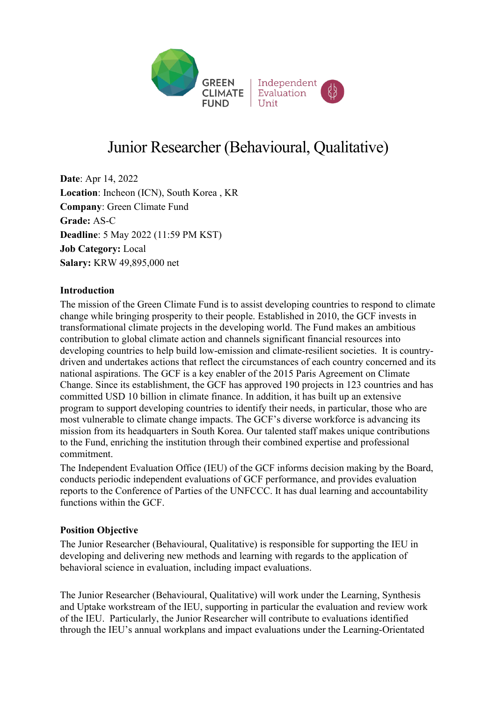

# Junior Researcher (Behavioural, Qualitative)

**Date**: Apr 14, 2022 **Location**: Incheon (ICN), South Korea , KR **Company**: Green Climate Fund **Grade:** AS-C **Deadline**: 5 May 2022 (11:59 PM KST) **Job Category:** Local **Salary:** KRW 49,895,000 net

#### **Introduction**

The mission of the Green Climate Fund is to assist developing countries to respond to climate change while bringing prosperity to their people. Established in 2010, the GCF invests in transformational climate projects in the developing world. The Fund makes an ambitious contribution to global climate action and channels significant financial resources into developing countries to help build low-emission and climate-resilient societies. It is countrydriven and undertakes actions that reflect the circumstances of each country concerned and its national aspirations. The GCF is a key enabler of the 2015 Paris Agreement on Climate Change. Since its establishment, the GCF has approved 190 projects in 123 countries and has committed USD 10 billion in climate finance. In addition, it has built up an extensive program to support developing countries to identify their needs, in particular, those who are most vulnerable to climate change impacts. The GCF's diverse workforce is advancing its mission from its headquarters in South Korea. Our talented staff makes unique contributions to the Fund, enriching the institution through their combined expertise and professional commitment.

The Independent Evaluation Office (IEU) of the GCF informs decision making by the Board, conducts periodic independent evaluations of GCF performance, and provides evaluation reports to the Conference of Parties of the UNFCCC. It has dual learning and accountability functions within the GCF.

#### **Position Objective**

The Junior Researcher (Behavioural, Qualitative) is responsible for supporting the IEU in developing and delivering new methods and learning with regards to the application of behavioral science in evaluation, including impact evaluations.

The Junior Researcher (Behavioural, Qualitative) will work under the Learning, Synthesis and Uptake workstream of the IEU, supporting in particular the evaluation and review work of the IEU. Particularly, the Junior Researcher will contribute to evaluations identified through the IEU's annual workplans and impact evaluations under the Learning-Orientated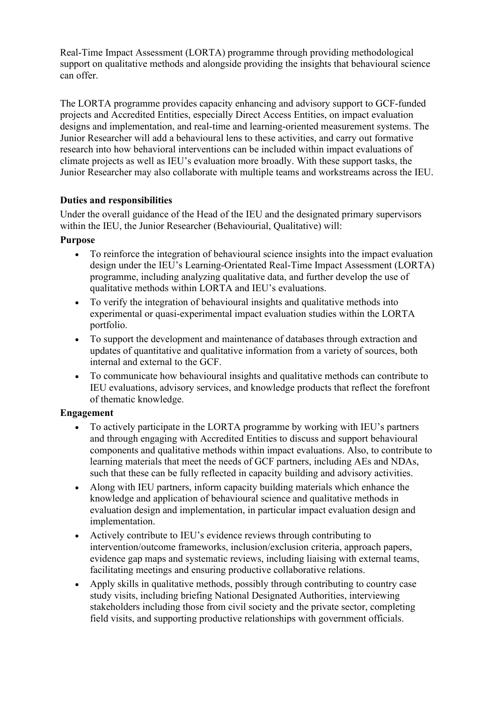Real-Time Impact Assessment (LORTA) programme through providing methodological support on qualitative methods and alongside providing the insights that behavioural science can offer.

The LORTA programme provides capacity enhancing and advisory support to GCF-funded projects and Accredited Entities, especially Direct Access Entities, on impact evaluation designs and implementation, and real-time and learning-oriented measurement systems. The Junior Researcher will add a behavioural lens to these activities, and carry out formative research into how behavioral interventions can be included within impact evaluations of climate projects as well as IEU's evaluation more broadly. With these support tasks, the Junior Researcher may also collaborate with multiple teams and workstreams across the IEU.

## **Duties and responsibilities**

Under the overall guidance of the Head of the IEU and the designated primary supervisors within the IEU, the Junior Researcher (Behaviourial, Qualitative) will:

## **Purpose**

- To reinforce the integration of behavioural science insights into the impact evaluation design under the IEU's Learning-Orientated Real-Time Impact Assessment (LORTA) programme, including analyzing qualitative data, and further develop the use of qualitative methods within LORTA and IEU's evaluations.
- To verify the integration of behavioural insights and qualitative methods into experimental or quasi-experimental impact evaluation studies within the LORTA portfolio.
- To support the development and maintenance of databases through extraction and updates of quantitative and qualitative information from a variety of sources, both internal and external to the GCF.
- To communicate how behavioural insights and qualitative methods can contribute to IEU evaluations, advisory services, and knowledge products that reflect the forefront of thematic knowledge.

#### **Engagement**

- To actively participate in the LORTA programme by working with IEU's partners and through engaging with Accredited Entities to discuss and support behavioural components and qualitative methods within impact evaluations. Also, to contribute to learning materials that meet the needs of GCF partners, including AEs and NDAs, such that these can be fully reflected in capacity building and advisory activities.
- Along with IEU partners, inform capacity building materials which enhance the knowledge and application of behavioural science and qualitative methods in evaluation design and implementation, in particular impact evaluation design and implementation.
- Actively contribute to IEU's evidence reviews through contributing to intervention/outcome frameworks, inclusion/exclusion criteria, approach papers, evidence gap maps and systematic reviews, including liaising with external teams, facilitating meetings and ensuring productive collaborative relations.
- Apply skills in qualitative methods, possibly through contributing to country case study visits, including briefing National Designated Authorities, interviewing stakeholders including those from civil society and the private sector, completing field visits, and supporting productive relationships with government officials.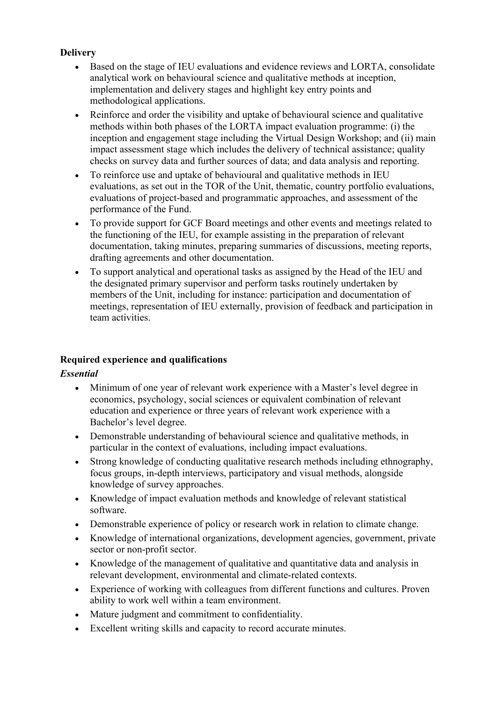# **Delivery**

- Based on the stage of IEU evaluations and evidence reviews and LORTA, consolidate analytical work on behavioural science and qualitative methods at inception, implementation and delivery stages and highlight key entry points and methodological applications.
- Reinforce and order the visibility and uptake of behavioural science and qualitative methods within both phases of the LORTA impact evaluation programme: (i) the inception and engagement stage including the Virtual Design Workshop; and (ii) main impact assessment stage which includes the delivery of technical assistance; quality checks on survey data and further sources of data; and data analysis and reporting.
- To reinforce use and uptake of behavioural and qualitative methods in IEU evaluations, as set out in the TOR of the Unit, thematic, country portfolio evaluations, evaluations of project-based and programmatic approaches, and assessment of the performance of the Fund.
- To provide support for GCF Board meetings and other events and meetings related to the functioning of the IEU, for example assisting in the preparation of relevant documentation, taking minutes, preparing summaries of discussions, meeting reports, drafting agreements and other documentation.
- To support analytical and operational tasks as assigned by the Head of the IEU and the designated primary supervisor and perform tasks routinely undertaken by members of the Unit, including for instance: participation and documentation of meetings, representation of IEU externally, provision of feedback and participation in team activities.

# **Required experience and qualifications**

#### *Essential*

- Minimum of one year of relevant work experience with a Master's level degree in economics, psychology, social sciences or equivalent combination of relevant education and experience or three years of relevant work experience with a Bachelor's level degree.
- Demonstrable understanding of behavioural science and qualitative methods, in particular in the context of evaluations, including impact evaluations.
- Strong knowledge of conducting qualitative research methods including ethnography, focus groups, in-depth interviews, participatory and visual methods, alongside knowledge of survey approaches.
- Knowledge of impact evaluation methods and knowledge of relevant statistical software.
- Demonstrable experience of policy or research work in relation to climate change.
- Knowledge of international organizations, development agencies, government, private sector or non-profit sector.
- Knowledge of the management of qualitative and quantitative data and analysis in relevant development, environmental and climate-related contexts.
- Experience of working with colleagues from different functions and cultures. Proven ability to work well within a team environment.
- Mature judgment and commitment to confidentiality.
- Excellent writing skills and capacity to record accurate minutes.